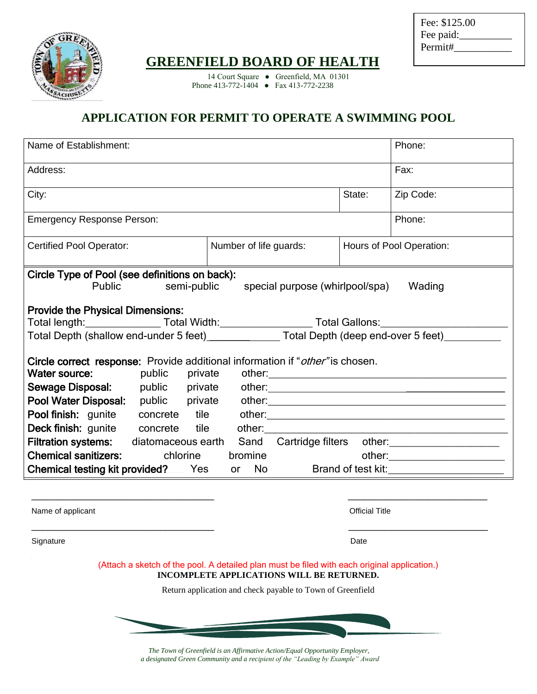

Fee: \$125.00 Fee paid: Permit#\_

## **GREENFIELD BOARD OF HEALTH**

14 Court Square • Greenfield, MA 01301 Phone 413-772-1404 ● Fax 413-772-2238

## **APPLICATION FOR PERMIT TO OPERATE A SWIMMING POOL**

| Name of Establishment:                                                                                                                                                                                                                                                                                                                                                                         |                       | Phone:                                                           |
|------------------------------------------------------------------------------------------------------------------------------------------------------------------------------------------------------------------------------------------------------------------------------------------------------------------------------------------------------------------------------------------------|-----------------------|------------------------------------------------------------------|
| Address:                                                                                                                                                                                                                                                                                                                                                                                       |                       | Fax:                                                             |
| City:                                                                                                                                                                                                                                                                                                                                                                                          | State:                | Zip Code:                                                        |
| <b>Emergency Response Person:</b>                                                                                                                                                                                                                                                                                                                                                              |                       | Phone:                                                           |
| Number of life guards:<br><b>Certified Pool Operator:</b>                                                                                                                                                                                                                                                                                                                                      |                       | Hours of Pool Operation:                                         |
| Circle Type of Pool (see definitions on back):<br><b>Public</b><br>semi-public<br>special purpose (whirlpool/spa)<br>Wading<br><b>Provide the Physical Dimensions:</b><br>Total length:___________________Total Width:__________________________Total Gallons:__________________________<br>Total Depth (shallow end-under 5 feet)________________Total Depth (deep end-over 5 feet)__________ |                       |                                                                  |
| Circle correct response: Provide additional information if "other" is chosen.<br>Water source:<br>Pool finish: gunite concrete tile other: \\contact \\contact \\contact \\contact \\contact \\contact \tile \til<br>Deck finish: gunite concrete tile<br>Filtration systems: diatomaceous earth<br><b>Chemical sanitizers:</b> chlorine<br>bromine                                            |                       | Sand Cartridge filters other:<br><u>Cartridge filters</u> other: |
| <b>Chemical testing kit provided?</b> Yes<br>or No Brand of test kit: 1991                                                                                                                                                                                                                                                                                                                     |                       |                                                                  |
| Name of applicant                                                                                                                                                                                                                                                                                                                                                                              | <b>Official Title</b> |                                                                  |
| Signature                                                                                                                                                                                                                                                                                                                                                                                      | Date                  |                                                                  |
| (Attach a sketch of the pool. A detailed plan must be filed with each original application.)<br>INCOMPLETE APPLICATIONS WILL BE RETURNED.                                                                                                                                                                                                                                                      |                       |                                                                  |
| Return application and check payable to Town of Greenfield                                                                                                                                                                                                                                                                                                                                     |                       |                                                                  |
|                                                                                                                                                                                                                                                                                                                                                                                                |                       |                                                                  |

*The Town of Greenfield is an Affirmative Action/Equal Opportunity Employer, a designated Green Community and a recipient of the "Leading by Example" Award*